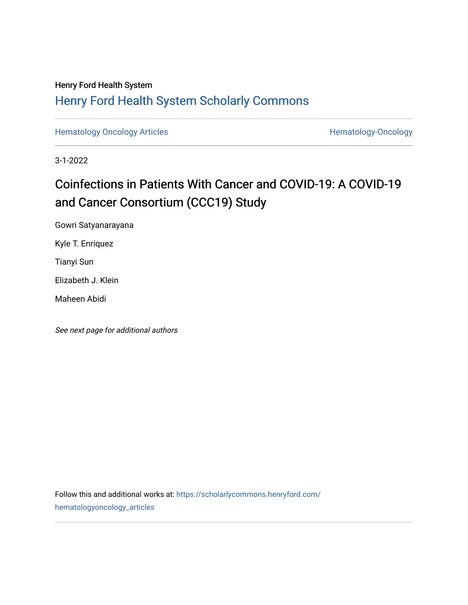### Henry Ford Health System [Henry Ford Health System Scholarly Commons](https://scholarlycommons.henryford.com/)

[Hematology Oncology Articles](https://scholarlycommons.henryford.com/hematologyoncology_articles) **Hematology-Oncology** 

3-1-2022

## Coinfections in Patients With Cancer and COVID-19: A COVID-19 and Cancer Consortium (CCC19) Study

Gowri Satyanarayana

Kyle T. Enriquez

Tianyi Sun

Elizabeth J. Klein

Maheen Abidi

See next page for additional authors

Follow this and additional works at: [https://scholarlycommons.henryford.com/](https://scholarlycommons.henryford.com/hematologyoncology_articles?utm_source=scholarlycommons.henryford.com%2Fhematologyoncology_articles%2F229&utm_medium=PDF&utm_campaign=PDFCoverPages) [hematologyoncology\\_articles](https://scholarlycommons.henryford.com/hematologyoncology_articles?utm_source=scholarlycommons.henryford.com%2Fhematologyoncology_articles%2F229&utm_medium=PDF&utm_campaign=PDFCoverPages)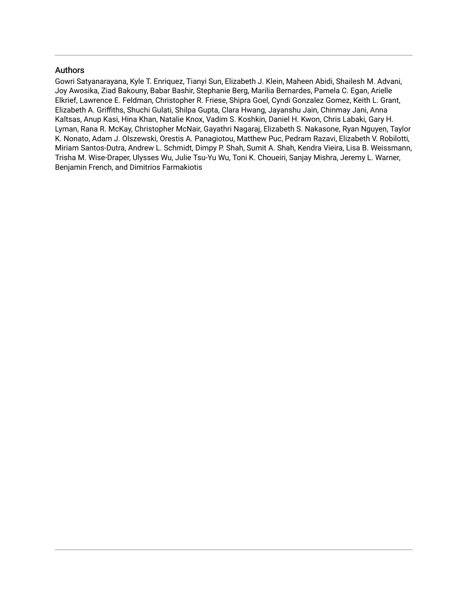#### Authors

Gowri Satyanarayana, Kyle T. Enriquez, Tianyi Sun, Elizabeth J. Klein, Maheen Abidi, Shailesh M. Advani, Joy Awosika, Ziad Bakouny, Babar Bashir, Stephanie Berg, Marilia Bernardes, Pamela C. Egan, Arielle Elkrief, Lawrence E. Feldman, Christopher R. Friese, Shipra Goel, Cyndi Gonzalez Gomez, Keith L. Grant, Elizabeth A. Griffiths, Shuchi Gulati, Shilpa Gupta, Clara Hwang, Jayanshu Jain, Chinmay Jani, Anna Kaltsas, Anup Kasi, Hina Khan, Natalie Knox, Vadim S. Koshkin, Daniel H. Kwon, Chris Labaki, Gary H. Lyman, Rana R. McKay, Christopher McNair, Gayathri Nagaraj, Elizabeth S. Nakasone, Ryan Nguyen, Taylor K. Nonato, Adam J. Olszewski, Orestis A. Panagiotou, Matthew Puc, Pedram Razavi, Elizabeth V. Robilotti, Miriam Santos-Dutra, Andrew L. Schmidt, Dimpy P. Shah, Sumit A. Shah, Kendra Vieira, Lisa B. Weissmann, Trisha M. Wise-Draper, Ulysses Wu, Julie Tsu-Yu Wu, Toni K. Choueiri, Sanjay Mishra, Jeremy L. Warner, Benjamin French, and Dimitrios Farmakiotis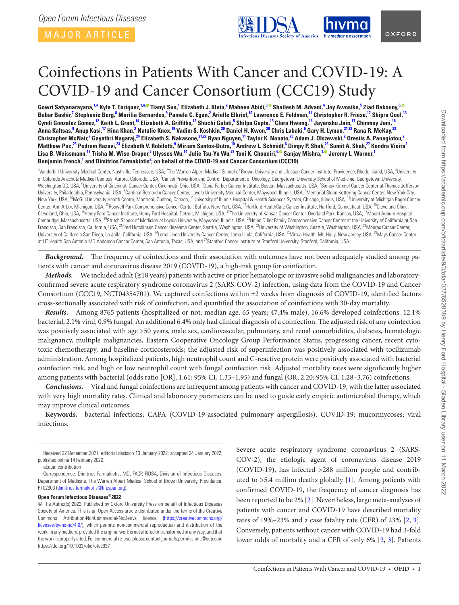MAJOR ARTICLE

<span id="page-2-23"></span><span id="page-2-18"></span><span id="page-2-15"></span><span id="page-2-12"></span><span id="page-2-7"></span><span id="page-2-3"></span>

# Coinfections in Patients With Cancer and COVID-19: A COVID-19 and Cancer Consortium (CCC19) Study

Gowri Satyanarayana,<sup>[1](#page-2-0),[a](#page-2-1)</sup> Kyle T. Enriquez,<sup>1,a,©</sup> Tianyi Sun,<sup>1</sup> Elizabeth J. Klein,<sup>[2](#page-2-2)</sup> Maheen Abidi,<sup>[3](#page-2-3),©</sup> Shailesh M. Advani,<sup>[4](#page-2-4)</sup> Joy Awosika,<sup>[5](#page-2-5)</sup> Ziad Bakouny,<sup>[6](#page-2-6)[,](https://orcid.org/0000-0003-1906-5704)</sup> Babar Bashir,<sup>[7](#page-2-7)</sup> Stephanie Berg,<sup>[8](#page-2-8)</sup> Marilia Bernardes,<sup>[9](#page-2-9)</sup> Pamela C. Egan,<sup>[2](#page-2-2)</sup> Arielle Elkrief,<sup>10</sup> Lawrence E. Feldman,<sup>[11](#page-2-11)</sup> Christopher R. Friese,<sup>12</sup> Shipra Goel,<sup>[13](#page-2-13)</sup> Cyndi Gonzalez Gomez,<sup>[12](#page-2-12)</sup> Keith L. Grant,<sup>[14](#page-2-14)</sup> Elizabeth A. Griffiths,<sup>[13](#page-2-13)</sup> Shuchi Gulati,<sup>[5](#page-2-5)</sup> Shilpa Gupta,<sup>[15](#page-2-15)</sup> Clara Hwang,<sup>16</sup> Jayanshu Jain,<sup>17</sup> Chinmay Jani,<sup>[18](#page-2-18)</sup> Anna Kaltsas,<sup>[9](#page-2-9)</sup> Anup Kasi,<sup>[17](#page-2-17)</sup> Hina Khan,<sup>[2](#page-2-2)</sup> Natalie Knox,<sup>19</sup> Vadim S. Koshkin,<sup>[20](#page-2-20)</sup> Daniel H. Kwon,<sup>20</sup> Chris Labaki,<sup>[6](#page-2-6)</sup> Gary H. Lyman,<sup>[21](#page-2-21)[,22](#page-2-22)</sup> Rana R. McKay,<sup>[23](#page-2-23)</sup> Christopher McNair,<sup>[7](#page-2-7)</sup> Gayathri Nagaraj,<sup>24</sup> Elizabeth S. Nakasone,<sup>[21,](#page-2-21)22</sup> Ryan Nguyen,<sup>[11](#page-2-11)</sup> Taylor K. Nonato,<sup>[2](#page-2-2)3</sup> Adam J. Olszewski,<sup>2</sup> Orestis A. Panagiotou,<sup>2</sup> Matthew Puc,<sup>[25](#page-2-25)</sup> Pedram Razavi,<sup>[23](#page-2-23)</sup> Elizabeth V. Robilotti,<sup>[9](#page-2-9)</sup> Miriam Santos-Dutra,<sup>[10](#page-2-10)</sup> Andrew L. Schmidt,<sup>[6](#page-2-6)</sup> Dimpy P. Shah,<sup>[26](#page-2-26)</sup> Sumit A. Shah,<sup>27</sup> Kendra Vieira<sup>2</sup> Lisa B. Weissmann,<sup>[17](#page-2-17)</sup> Trisha M. Wise-Draper,<sup>[5](#page-2-5)</sup> Ulysses Wu,<sup>14</sup> Julie Tsu-Yu Wu,<sup>[27](#page-2-27)</sup> Toni K. Choueiri,<sup>[6](#page-2-6),©</sup> Sanjay Mishra,<sup>[1](#page-2-0),©</sup> Jeremy L. Warner,<sup>1</sup> **Benjamin French, [1](#page-2-0) and Dimitrios Farmakiotis[2](#page-2-2) ; on behalf of the COVID-19 and Cancer Consortium (CCC19)**

<span id="page-2-17"></span><span id="page-2-16"></span><span id="page-2-14"></span><span id="page-2-13"></span><span id="page-2-11"></span><span id="page-2-10"></span><span id="page-2-9"></span><span id="page-2-8"></span><span id="page-2-6"></span><span id="page-2-5"></span><span id="page-2-4"></span><span id="page-2-2"></span><span id="page-2-0"></span><sup>1</sup>Vanderbilt University Medical Center, Nashville, Tennessee, USA, <sup>2</sup>The Warren Alpert Medical School of Brown University and Lifespan Cancer Institute, Providence, Rhode Island, USA, <sup>3</sup>University of Colorado Anschutz Medical Campus, Aurora, Colorado, USA, <sup>4</sup>Cancer Prevention and Control, Department of Oncology, Georgetown University School of Medicine, Georgetown University, Washington DC, USA, <sup>5</sup>University of Cincinnati Cancer Center, Cincinnati, Ohio, USA, <sup>6</sup>Dana-Farber Cancer Institute, Boston, Massachusetts, USA, <sup>7</sup>Sidney Kimmel Cancer Center at Thomas Jefferson University, Philadelphia, Pennsylvania, USA, <sup>8</sup>Cardinal Bernardin Cancer Center, Loyola University Medical Center, Maywood, Illinois, USA, <sup>9</sup>Memorial Sloan Kettering Cancer Center, New York City, New York, USA, <sup>10</sup>McGill University Health Centre, Montreal, Quebec, Canada, <sup>11</sup>University of Illinois Hospital & Health Sciences System, Chicago, Illinois, USA, <sup>12</sup>University of Michigan Rogel Cancer Center, Ann Arbor, Michigan, USA, <sup>13</sup>Roswell Park Comprehensive Cancer Center, Buffalo, New York, USA, <sup>14</sup>Hartford HealthCare Cancer Institute, Hartford, Connecticut, USA, <sup>15</sup>Cleveland Clinic, Cleveland, Ohio, USA, <sup>16</sup>Henry Ford Cancer Institute, Henry Ford Hospital, Detroit, Michigan, USA, <sup>17</sup>The University of Kansas Cancer Center, Overland Park, Kansas, USA, <sup>16</sup>Mount Auburn Hospital, Cambridge, Massachusetts, USA, <sup>19</sup>Stritch School of Medicine at Loyola University, Maywood, Illinois, USA, <sup>20</sup>Helen Diller Family Comprehensive Cancer Center at the University of California at San Francisco, San Francisco, California, USA, <sup>21</sup>Fred Hutchinson Cancer Research Center, Seattle, Washington, USA, <sup>22</sup>University of Washington, Seattle, Washington, USA, <sup>23</sup>Moores Cancer Center, University of California San Diego, La Jolla, California, USA, <sup>24</sup>Loma Linda University Cancer Center, Loma Linda, California, USA, <sup>25</sup>Virtua Health, Mt. Holly, New Jersey, USA, <sup>26</sup>Mays Cancer Center at UT Health San Antonio MD Anderson Cancer Center, San Antonio, Texas, USA, and <sup>27</sup>Stanford Cancer Institute at Stanford University, Stanford, California, USA

<span id="page-2-27"></span><span id="page-2-24"></span><span id="page-2-22"></span><span id="page-2-21"></span><span id="page-2-20"></span><span id="page-2-19"></span>*Background.* The frequency of coinfections and their association with outcomes have not been adequately studied among patients with cancer and coronavirus disease 2019 (COVID-19), a high-risk group for coinfection.

*Methods.* We included adult (≥18 years) patients with active or prior hematologic or invasive solid malignancies and laboratoryconfirmed severe acute respiratory syndrome coronavirus 2 (SARS-COV-2) infection, using data from the COVID-19 and Cancer Consortium (CCC19, NCT04354701). We captured coinfections within ±2 weeks from diagnosis of COVID-19, identified factors cross-sectionally associated with risk of coinfection, and quantified the association of coinfections with 30-day mortality.

*Results.* Among 8765 patients (hospitalized or not; median age, 65 years; 47.4% male), 16.6% developed coinfections: 12.1% bacterial, 2.1% viral, 0.9% fungal. An additional 6.4% only had clinical diagnosis of a coinfection. The adjusted risk of any coinfection was positively associated with age >50 years, male sex, cardiovascular, pulmonary, and renal comorbidities, diabetes, hematologic malignancy, multiple malignancies, Eastern Cooperative Oncology Group Performance Status, progressing cancer, recent cytotoxic chemotherapy, and baseline corticosteroids; the adjusted risk of superinfection was positively associated with tocilizumab administration. Among hospitalized patients, high neutrophil count and C-reactive protein were positively associated with bacterial coinfection risk, and high or low neutrophil count with fungal coinfection risk. Adjusted mortality rates were significantly higher among patients with bacterial (odds ratio [OR], 1.61; 95% CI, 1.33–1.95) and fungal (OR, 2.20; 95% CI, 1.28–3.76) coinfections.

*Conclusions.* Viral and fungal coinfections are infrequent among patients with cancer and COVID-19, with the latter associated with very high mortality rates. Clinical and laboratory parameters can be used to guide early empiric antimicrobial therapy, which may improve clinical outcomes.

**Keywords.** bacterial infections; CAPA (COVID-19-associated pulmonary aspergillosis); COVID-19; mucormycoses; viral infections.

#### **Open Forum Infectious Diseases®2022**

© The Author(s) 2022. Published by Oxford University Press on behalf of Infectious Diseases Society of America. This is an Open Access article distributed under the terms of the Creative Commons Attribution-NonCommercial-NoDerivs licence ([https://creativecommons.org/](https://creativecommons.org/licenses/by-nc-nd/4.0/) [licenses/by-nc-nd/4.0/](https://creativecommons.org/licenses/by-nc-nd/4.0/)), which permits non-commercial reproduction and distribution of the work, in any medium, provided the original work is not altered or transformed in any way, and that the work is properly cited. For commercial re-use, please contact journals.permissions@oup.com https://doi.org/10.1093/ofid/ofac037

<span id="page-2-26"></span><span id="page-2-25"></span>Severe acute respiratory syndrome coronavirus 2 (SARS-COV-2), the etiologic agent of coronavirus disease 2019 (COVID-19), has infected >288 million people and contributed to  $>5.4$  million deaths globally [\[1](#page-10-0)]. Among patients with confirmed COVID-19, the frequency of cancer diagnosis has been reported to be 2% [[2](#page-10-1)]. Nevertheless, large meta-analyses of patients with cancer and COVID-19 have described mortality rates of 19%–23% and a case fatality rate (CFR) of 23% [\[2,](#page-10-1) [3](#page-10-2)]. Conversely, patients without cancer with COVID-19 had 3-fold lower odds of mortality and a CFR of only 6% [\[2,](#page-10-1) [3\]](#page-10-2). Patients

Received 22 December 2021; editorial decision 13 January 2022; accepted 24 January 2022; published online 14 February 2022.

<span id="page-2-1"></span>aEqual contribution

Correspondence: Dimitrios Farmakiotis, MD, FACP, FIDSA, Division of Infectious Diseases, Department of Medicine, The Warren Alpert Medical School of Brown University, Providence, RI 02903 [\(dimitrios.farmakiotis@lifespan.org\)](mailto:dimitrios.farmakiotis@lifespan.org).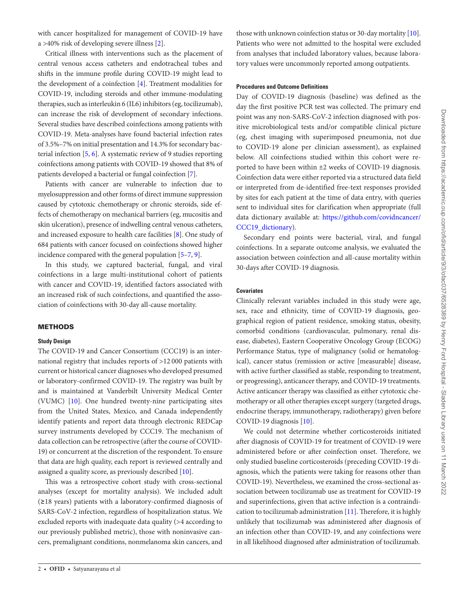with cancer hospitalized for management of COVID-19 have a >40% risk of developing severe illness [[2](#page-10-1)].

Critical illness with interventions such as the placement of central venous access catheters and endotracheal tubes and shifts in the immune profile during COVID-19 might lead to the development of a coinfection [[4](#page-11-0)]. Treatment modalities for COVID-19, including steroids and other immune-modulating therapies, such as interleukin 6 (IL6) inhibitors (eg, tocilizumab), can increase the risk of development of secondary infections. Several studies have described coinfections among patients with COVID-19. Meta-analyses have found bacterial infection rates of 3.5%–7% on initial presentation and 14.3% for secondary bacterial infection [[5](#page-11-1), [6](#page-11-2)]. A systematic review of 9 studies reporting coinfections among patients with COVID-19 showed that 8% of patients developed a bacterial or fungal coinfection [[7](#page-11-3)].

Patients with cancer are vulnerable to infection due to myelosuppression and other forms of direct immune suppression caused by cytotoxic chemotherapy or chronic steroids, side effects of chemotherapy on mechanical barriers (eg, mucositis and skin ulceration), presence of indwelling central venous catheters, and increased exposure to health care facilities [[8](#page-11-4)]. One study of 684 patients with cancer focused on coinfections showed higher incidence compared with the general population [[5](#page-11-1)[–7](#page-11-3), [9](#page-11-5)].

In this study, we captured bacterial, fungal, and viral coinfections in a large multi-institutional cohort of patients with cancer and COVID-19, identified factors associated with an increased risk of such coinfections, and quantified the association of coinfections with 30-day all-cause mortality.

#### METHODS

#### **Study Design**

The COVID-19 and Cancer Consortium (CCC19) is an international registry that includes reports of >12 000 patients with current or historical cancer diagnoses who developed presumed or laboratory-confirmed COVID-19. The registry was built by and is maintained at Vanderbilt University Medical Center (VUMC) [[10\]](#page-11-6). One hundred twenty-nine participating sites from the United States, Mexico, and Canada independently identify patients and report data through electronic REDCap survey instruments developed by CCC19. The mechanism of data collection can be retrospective (after the course of COVID-19) or concurrent at the discretion of the respondent. To ensure that data are high quality, each report is reviewed centrally and assigned a quality score, as previously described [[10\]](#page-11-6).

This was a retrospective cohort study with cross-sectional analyses (except for mortality analysis). We included adult (≥18 years) patients with a laboratory-confirmed diagnosis of SARS-CoV-2 infection, regardless of hospitalization status. We excluded reports with inadequate data quality (>4 according to our previously published metric), those with noninvasive cancers, premalignant conditions, nonmelanoma skin cancers, and

those with unknown coinfection status or 30-day mortality [\[10](#page-11-6)]. Patients who were not admitted to the hospital were excluded from analyses that included laboratory values, because laboratory values were uncommonly reported among outpatients.

#### **Procedures and Outcome Definitions**

Day of COVID-19 diagnosis (baseline) was defined as the day the first positive PCR test was collected. The primary end point was any non-SARS-CoV-2 infection diagnosed with positive microbiological tests and/or compatible clinical picture (eg, chest imaging with superimposed pneumonia, not due to COVID-19 alone per clinician assessment), as explained below. All coinfections studied within this cohort were reported to have been within ±2 weeks of COVID-19 diagnosis. Coinfection data were either reported via a structured data field or interpreted from de-identified free-text responses provided by sites for each patient at the time of data entry, with queries sent to individual sites for clarification when appropriate (full data dictionary available at: [https://github.com/covidncancer/](https://github.com/covidncancer/CCC19_dictionary) [CCC19\\_dictionary](https://github.com/covidncancer/CCC19_dictionary)).

Secondary end points were bacterial, viral, and fungal coinfections. In a separate outcome analysis, we evaluated the association between coinfection and all-cause mortality within 30-days after COVID-19 diagnosis.

#### **Covariates**

Clinically relevant variables included in this study were age, sex, race and ethnicity, time of COVID-19 diagnosis, geographical region of patient residence, smoking status, obesity, comorbid conditions (cardiovascular, pulmonary, renal disease, diabetes), Eastern Cooperative Oncology Group (ECOG) Performance Status, type of malignancy (solid or hematological), cancer status (remission or active [measurable] disease, with active further classified as stable, responding to treatment, or progressing), anticancer therapy, and COVID-19 treatments. Active anticancer therapy was classified as either cytotoxic chemotherapy or all other therapies except surgery (targeted drugs, endocrine therapy, immunotherapy, radiotherapy) given before COVID-19 diagnosis [\[10](#page-11-6)].

We could not determine whether corticosteroids initiated after diagnosis of COVID-19 for treatment of COVID-19 were administered before or after coinfection onset. Therefore, we only studied baseline corticosteroids (preceding COVID-19 diagnosis, which the patients were taking for reasons other than COVID-19). Nevertheless, we examined the cross-sectional association between tocilizumab use as treatment for COVID-19 and superinfections, given that active infection is a contraindication to tocilizumab administration [\[11](#page-11-7)]. Therefore, it is highly unlikely that tocilizumab was administered after diagnosis of an infection other than COVID-19, and any coinfections were in all likelihood diagnosed after administration of tocilizumab.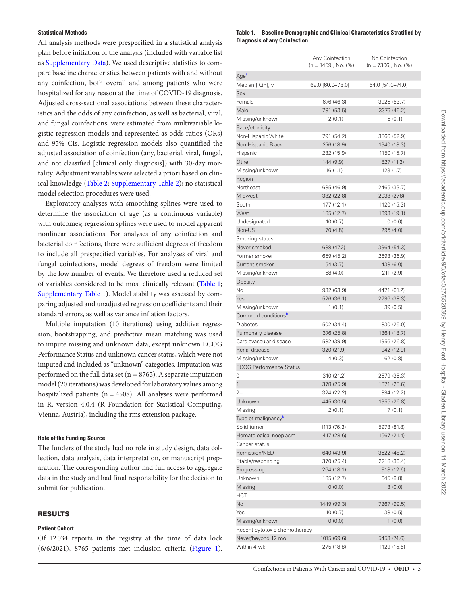#### **Statistical Methods**

All analysis methods were prespecified in a statistical analysis plan before initiation of the analysis (included with variable list as [Supplementary Data](http://academic.oup.com/ofid/article-lookup/doi/10.1093/ofid/ofac037#supplementary-data)). We used descriptive statistics to compare baseline characteristics between patients with and without any coinfection, both overall and among patients who were hospitalized for any reason at the time of COVID-19 diagnosis. Adjusted cross-sectional associations between these characteristics and the odds of any coinfection, as well as bacterial, viral, and fungal coinfections, were estimated from multivariable logistic regression models and represented as odds ratios (ORs) and 95% CIs. Logistic regression models also quantified the adjusted association of coinfection (any, bacterial, viral, fungal, and not classified [clinical only diagnosis]) with 30-day mortality. Adjustment variables were selected a priori based on clinical knowledge ([Table 2](#page-6-0); [Supplementary Table 2\)](http://academic.oup.com/ofid/article-lookup/doi/10.1093/ofid/ofac037#supplementary-data); no statistical model selection procedures were used.

Exploratory analyses with smoothing splines were used to determine the association of age (as a continuous variable) with outcomes; regression splines were used to model apparent nonlinear associations. For analyses of any coinfection and bacterial coinfections, there were sufficient degrees of freedom to include all prespecified variables. For analyses of viral and fungal coinfections, model degrees of freedom were limited by the low number of events. We therefore used a reduced set of variables considered to be most clinically relevant [\(Table 1;](#page-4-0) [Supplementary Table 1](http://academic.oup.com/ofid/article-lookup/doi/10.1093/ofid/ofac037#supplementary-data)). Model stability was assessed by comparing adjusted and unadjusted regression coefficients and their standard errors, as well as variance inflation factors.

Multiple imputation (10 iterations) using additive regression, bootstrapping, and predictive mean matching was used to impute missing and unknown data, except unknown ECOG Performance Status and unknown cancer status, which were not imputed and included as "unknown" categories. Imputation was performed on the full data set ( $n = 8765$ ). A separate imputation model (20 iterations) was developed for laboratory values among hospitalized patients ( $n = 4508$ ). All analyses were performed in R, version 4.0.4 (R Foundation for Statistical Computing, Vienna, Austria), including the rms extension package.

#### **Role of the Funding Source**

The funders of the study had no role in study design, data collection, data analysis, data interpretation, or manuscript preparation. The corresponding author had full access to aggregate data in the study and had final responsibility for the decision to submit for publication.

#### RESULTS

#### **Patient Cohort**

Of 12 034 reports in the registry at the time of data lock (6/6/2021), 8765 patients met inclusion criteria ([Figure 1\)](#page-8-0).

#### <span id="page-4-0"></span>**Table 1. Baseline Demographic and Clinical Characteristics Stratified by Diagnosis of any Coinfection**

|                                  | Any Coinfection<br>$(n = 1459)$ , No. $(%)$ | No Coinfection<br>$(n = 7306)$ , No. $(\%)$ |
|----------------------------------|---------------------------------------------|---------------------------------------------|
| Age <sup>a</sup>                 |                                             |                                             |
| Median [IQR], y                  | 69.0 [60.0-78.0]                            | 64.0 [54.0-74.0]                            |
| Sex                              |                                             |                                             |
| Female                           | 676 (46.3)                                  | 3925 (53.7)                                 |
| Male                             | 781 (53.5)                                  | 3376 (46.2)                                 |
| Missing/unknown                  | 2 (0.1)                                     | 5 (0.1)                                     |
| Race/ethnicity                   |                                             |                                             |
| Non-Hispanic White               | 791 (54.2)                                  | 3866 (52.9)                                 |
| Non-Hispanic Black               | 276 (18.9)                                  | 1340 (18.3)                                 |
| Hispanic                         | 232 (15.9)                                  | 1150 (15.7)                                 |
| Other                            | 144 (9.9)                                   | 827 (11.3)                                  |
| Missing/unknown<br>Region        | 16 (1.1)                                    | 123(1.7)                                    |
| Northeast                        | 685 (46.9)                                  | 2465 (33.7)                                 |
| Midwest                          | 332 (22.8)                                  | 2033 (27.8)                                 |
| South                            | 177 (12.1)                                  | 1120 (15.3)                                 |
| West                             | 185 (12.7)                                  | 1393 (19.1)                                 |
| Undesignated                     | 10(0.7)                                     | 0(0.0)                                      |
| Non-US                           | 70 (4.8)                                    | 295 (4.0)                                   |
| Smoking status                   |                                             |                                             |
| Never smoked                     | 688 (47.2)                                  | 3964 (54.3)                                 |
| Former smoker                    | 659 (45.2)                                  | 2693 (36.9)                                 |
| Current smoker                   | 54(3.7)                                     | 438 (6.0)                                   |
| Missing/unknown                  | 58 (4.0)                                    | 211 (2.9)                                   |
| Obesity                          |                                             |                                             |
| No                               | 932 (63.9)                                  | 4471 (61.2)                                 |
| <b>Yes</b>                       | 526 (36.1)                                  | 2796 (38.3)                                 |
| Missing/unknown                  | 1(0.1)                                      | 39 (0.5)                                    |
| Comorbid conditions <sup>b</sup> |                                             |                                             |
| <b>Diabetes</b>                  | 502 (34.4)                                  | 1830 (25.0)                                 |
| Pulmonary disease                | 376 (25.8)                                  | 1364 (18.7)                                 |
| Cardiovascular disease           | 582 (39.9)                                  | 1956 (26.8)                                 |
| Renal disease                    | 320 (21.9)                                  | 942 (12.9)                                  |
| Missing/unknown                  | 4 (0.3)                                     | 62 (0.8)                                    |
| <b>ECOG Performance Status</b>   |                                             |                                             |
| 0                                | 310 (21.2)                                  | 2579 (35.3)                                 |
| 1                                | 378 (25.9)                                  | 1871 (25.6)                                 |
| $2+$                             | 324 (22.2)                                  | 894 (12.2)                                  |
| Unknown                          | 445 (30.5)                                  | 1955 (26.8)                                 |
| Missing                          | 2 (0.1)                                     | 7(0.1)                                      |
| Type of malignancy <sup>b</sup>  |                                             |                                             |
| Solid tumor                      | 1113 (76.3)                                 | 5973 (81.8)                                 |
| Hematological neoplasm           | 417 (28.6)                                  | 1567 (21.4)                                 |
| Cancer status                    |                                             |                                             |
| Remission/NED                    | 640 (43.9)                                  | 3522 (48.2)                                 |
| Stable/responding                | 370 (25.4)                                  | 2218 (30.4)                                 |
| Progressing                      | 264 (18.1)                                  | 918 (12.6)                                  |
| Unknown                          | 185 (12.7)                                  | 645 (8.8)                                   |
| Missing                          | (0.0)                                       | 3(0.0)                                      |
| HCT                              |                                             |                                             |
| No                               | 1449 (99.3)                                 | 7267 (99.5)                                 |
| Yes                              | 10(0.7)                                     | 38(0.5)                                     |
| Missing/unknown                  | 0(0.0)                                      | 1(0.0)                                      |
| Recent cytotoxic chemotherapy    |                                             |                                             |
| Never/beyond 12 mo               | 1015 (69.6)                                 | 5453 (74.6)                                 |
| Within 4 wk                      | 275 (18.8)                                  | 1129 (15.5)                                 |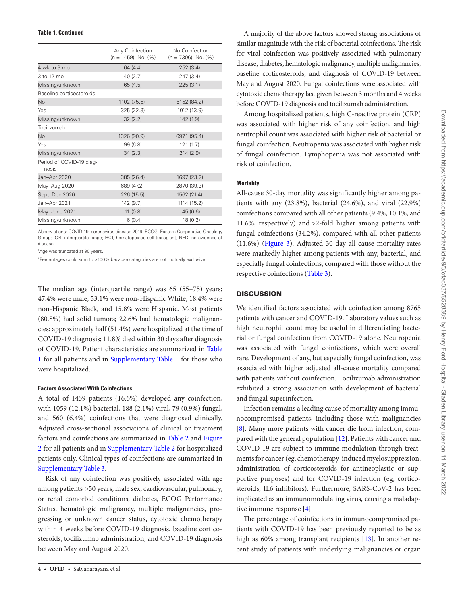|                                   | Any Coinfection<br>$(n = 1459)$ , No. $(%)$ | No Coinfection<br>$(n = 7306)$ , No. $(%)$ |
|-----------------------------------|---------------------------------------------|--------------------------------------------|
| 4 wk to 3 mo                      | 64(4.4)                                     | 252(3.4)                                   |
| 3 to 12 mo                        | 40(2.7)                                     | 247(3.4)                                   |
| Missing/unknown                   | 65(4.5)                                     | 225(3.1)                                   |
| Baseline corticosteroids          |                                             |                                            |
| No                                | 1102 (75.5)                                 | 6152 (84.2)                                |
| Yes                               | 325 (22.3)                                  | 1012 (13.9)                                |
| Missing/unknown                   | 32(2.2)                                     | 142 (1.9)                                  |
| Tocilizumab                       |                                             |                                            |
| No                                | 1326 (90.9)                                 | 6971 (95.4)                                |
| Yes                               | 99(6.8)                                     | 121(1.7)                                   |
| Missing/unknown                   | 34(2.3)                                     | 214(2.9)                                   |
| Period of COVID-19 diag-<br>nosis |                                             |                                            |
| Jan-Apr 2020                      | 385 (26.4)                                  | 1697 (23.2)                                |
| May-Aug 2020                      | 689 (47.2)                                  | 2870 (39.3)                                |
| Sept-Dec 2020                     | 226 (15.5)                                  | 1562 (21.4)                                |
| Jan-Apr 2021                      | 142 (9.7)                                   | 1114 (15.2)                                |
| May-June 2021                     | 11(0.8)                                     | 45(0.6)                                    |
| Missing/unknown                   | 6(0.4)                                      | 18(0.2)                                    |

Abbreviations: COVID-19, coronavirus disease 2019; ECOG, Eastern Cooperative Oncology Group; IQR, interquartile range; HCT, hematopoietic cell transplant; NED, no evidence of disease.

<span id="page-5-0"></span><sup>a</sup>Age was truncated at 90 years.

<span id="page-5-1"></span><sup>b</sup>Percentages could sum to >100% because categories are not mutually exclusive.

The median age (interquartile range) was 65 (55–75) years; 47.4% were male, 53.1% were non-Hispanic White, 18.4% were non-Hispanic Black, and 15.8% were Hispanic. Most patients (80.8%) had solid tumors; 22.6% had hematologic malignancies; approximately half (51.4%) were hospitalized at the time of COVID-19 diagnosis; 11.8% died within 30 days after diagnosis of COVID-19. Patient characteristics are summarized in [Table](#page-4-0) [1](#page-4-0) for all patients and in [Supplementary Table 1](http://academic.oup.com/ofid/article-lookup/doi/10.1093/ofid/ofac037#supplementary-data) for those who were hospitalized.

#### **Factors Associated With Coinfections**

A total of 1459 patients (16.6%) developed any coinfection, with 1059 (12.1%) bacterial, 188 (2.1%) viral, 79 (0.9%) fungal, and 560 (6.4%) coinfections that were diagnosed clinically. Adjusted cross-sectional associations of clinical or treatment factors and coinfections are summarized in [Table 2](#page-6-0) and [Figure](#page-9-0) [2](#page-9-0) for all patients and in [Supplementary Table 2](http://academic.oup.com/ofid/article-lookup/doi/10.1093/ofid/ofac037#supplementary-data) for hospitalized patients only. Clinical types of coinfections are summarized in [Supplementary Table 3.](http://academic.oup.com/ofid/article-lookup/doi/10.1093/ofid/ofac037#supplementary-data)

Risk of any coinfection was positively associated with age among patients >50 years, male sex, cardiovascular, pulmonary, or renal comorbid conditions, diabetes, ECOG Performance Status, hematologic malignancy, multiple malignancies, progressing or unknown cancer status, cytotoxic chemotherapy within 4 weeks before COVID-19 diagnosis, baseline corticosteroids, tocilizumab administration, and COVID-19 diagnosis between May and August 2020.

A majority of the above factors showed strong associations of similar magnitude with the risk of bacterial coinfections. The risk for viral coinfection was positively associated with pulmonary disease, diabetes, hematologic malignancy, multiple malignancies, baseline corticosteroids, and diagnosis of COVID-19 between May and August 2020. Fungal coinfections were associated with cytotoxic chemotherapy last given between 3 months and 4 weeks before COVID-19 diagnosis and tocilizumab administration.

Among hospitalized patients, high C-reactive protein (CRP) was associated with higher risk of any coinfection, and high neutrophil count was associated with higher risk of bacterial or fungal coinfection. Neutropenia was associated with higher risk of fungal coinfection. Lymphopenia was not associated with risk of coinfection.

#### **Mortality**

All-cause 30-day mortality was significantly higher among patients with any (23.8%), bacterial (24.6%), and viral (22.9%) coinfections compared with all other patients (9.4%, 10.1%, and 11.6%, respectively) and >2-fold higher among patients with fungal coinfections (34.2%), compared with all other patients (11.6%) [\(Figure 3](#page-9-1)). Adjusted 30-day all-cause mortality rates were markedly higher among patients with any, bacterial, and especially fungal coinfections, compared with those without the respective coinfections ([Table 3\)](#page-10-3).

#### **DISCUSSION**

We identified factors associated with coinfection among 8765 patients with cancer and COVID-19. Laboratory values such as high neutrophil count may be useful in differentiating bacterial or fungal coinfection from COVID-19 alone. Neutropenia was associated with fungal coinfections, which were overall rare. Development of any, but especially fungal coinfection, was associated with higher adjusted all-cause mortality compared with patients without coinfection. Tocilizumab administration exhibited a strong association with development of bacterial and fungal superinfection.

Infection remains a leading cause of mortality among immunocompromised patients, including those with malignancies [\[8\]](#page-11-4). Many more patients with cancer die from infection, compared with the general population [[12\]](#page-11-8). Patients with cancer and COVID-19 are subject to immune modulation through treatments for cancer (eg, chemotherapy-induced myelosuppression, administration of corticosteroids for antineoplastic or supportive purposes) and for COVID-19 infection (eg, corticosteroids, IL6 inhibitors). Furthermore, SARS-CoV-2 has been implicated as an immunomodulating virus, causing a maladaptive immune response [\[4\]](#page-11-0).

The percentage of coinfections in immunocompromised patients with COVID-19 has been previously reported to be as high as 60% among transplant recipients [[13\]](#page-11-9). In another recent study of patients with underlying malignancies or organ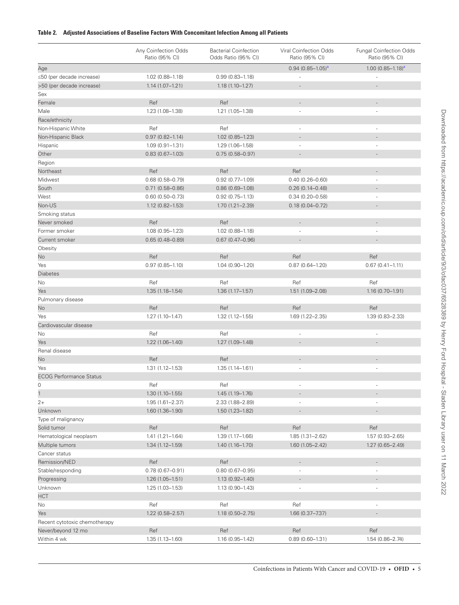#### <span id="page-6-0"></span>**Table 2. Adjusted Associations of Baseline Factors With Concomitant Infection Among all Patients**

|                                | Any Coinfection Odds<br>Ratio (95% CI) | <b>Bacterial Coinfection</b><br>Odds Ratio (95% CI) | Viral Coinfection Odds<br>Ratio (95% CI) | <b>Fungal Coinfection Odds</b><br>Ratio (95% CI) |
|--------------------------------|----------------------------------------|-----------------------------------------------------|------------------------------------------|--------------------------------------------------|
| Age                            |                                        |                                                     | $0.94(0.85 - 1.05)^a$                    | $1.00 (0.85 - 1.18)^a$                           |
| ≤50 (per decade increase)      | $1.02(0.88 - 1.18)$                    | $0.99(0.83 - 1.18)$                                 |                                          |                                                  |
| >50 (per decade increase)      | $1.14(1.07 - 1.21)$                    | $1.18(1.10 - 1.27)$                                 |                                          | ٠                                                |
| Sex                            |                                        |                                                     |                                          |                                                  |
| Female                         | Ref                                    | Ref                                                 | $\overline{\phantom{a}}$                 |                                                  |
| Male                           | 1.23 (1.08-1.38)                       | 1.21 (1.05-1.38)                                    | ×,                                       | ä,                                               |
| Race/ethnicity                 |                                        |                                                     |                                          |                                                  |
| Non-Hispanic White             | Ref                                    | Ref                                                 |                                          | ÷,                                               |
| Non-Hispanic Black             | $0.97(0.82 - 1.14)$                    | 1.02 (0.85-1.23)                                    |                                          |                                                  |
| Hispanic                       | $1.09(0.91 - 1.31)$                    | 1.29 (1.06-1.58)                                    |                                          |                                                  |
| Other                          | $0.83(0.67 - 1.03)$                    | $0.75(0.58 - 0.97)$                                 |                                          |                                                  |
| Region                         |                                        |                                                     |                                          |                                                  |
| Northeast                      | Ref                                    | Ref                                                 | Ref                                      |                                                  |
| Midwest                        | $0.68(0.58 - 0.79)$                    | $0.92(0.77 - 1.09)$                                 | $0.40(0.26 - 0.60)$                      |                                                  |
| South                          | $0.71(0.58 - 0.86)$                    | $0.86(0.69 - 1.08)$                                 | $0.26(0.14 - 0.48)$                      |                                                  |
| West                           | $0.60(0.50 - 0.73)$                    | $0.92(0.75 - 1.13)$                                 | $0.34(0.20 - 0.58)$                      |                                                  |
| Non-US                         | $1.12(0.82 - 1.53)$                    | 1.70 (1.21-2.39)                                    | $0.18(0.04 - 0.72)$                      |                                                  |
| Smoking status                 |                                        |                                                     |                                          |                                                  |
| Never smoked                   | Ref                                    | Ref                                                 |                                          |                                                  |
| Former smoker                  | $1.08(0.95 - 1.23)$                    | $1.02$ (0.88-1.18)                                  |                                          | ä,                                               |
| Current smoker                 | $0.65(0.48 - 0.89)$                    | $0.67(0.47 - 0.96)$                                 |                                          |                                                  |
| Obesity                        |                                        |                                                     |                                          |                                                  |
| No                             | Ref                                    | Ref                                                 | Ref                                      | Ref                                              |
| Yes                            | $0.97(0.85 - 1.10)$                    | $1.04(0.90 - 1.20)$                                 | $0.87(0.64 - 1.20)$                      | $0.67(0.41 - 1.11)$                              |
| <b>Diabetes</b>                |                                        |                                                     |                                          |                                                  |
| No                             | Ref                                    | Ref                                                 | Ref                                      | Ref                                              |
| Yes                            | $1.35(1.18 - 1.54)$                    | $1.36(1.17 - 1.57)$                                 | 1.51 (1.09-2.08)                         | $1.16(0.70 - 1.91)$                              |
| Pulmonary disease              |                                        |                                                     |                                          |                                                  |
| No                             | Ref                                    | Ref                                                 | Ref                                      | Ref                                              |
| Yes                            | $1.27(1.10-1.47)$                      | $1.32(1.12 - 1.55)$                                 | 1.69 (1.22-2.35)                         | 1.39 (0.83-2.33)                                 |
| Cardiovascular disease         |                                        |                                                     |                                          |                                                  |
| No                             | Ref                                    | Ref                                                 | ×,                                       | J,                                               |
| Yes                            | $1.22(1.06 - 1.40)$                    | 1.27 (1.09-1.48)                                    |                                          |                                                  |
| Renal disease                  |                                        |                                                     |                                          |                                                  |
| No                             | Ref                                    | Ref                                                 | $\overline{\phantom{a}}$                 |                                                  |
| Yes                            | $1.31(1.12 - 1.53)$                    | $1.35(1.14 - 1.61)$                                 |                                          |                                                  |
| <b>ECOG Performance Status</b> |                                        |                                                     |                                          |                                                  |
| $\mathbf 0$                    | Ref                                    | Ref                                                 |                                          |                                                  |
| $\mathbf{1}$                   | $1.30(1.10 - 1.55)$                    | 1.45 (1.19-1.76)                                    |                                          |                                                  |
| $2+$                           | $1.95(1.61 - 2.37)$                    | 2.33 (1.88-2.89)                                    |                                          |                                                  |
| Unknown                        | 1.60 (1.36-1.90)                       | $1.50(1.23 - 1.82)$                                 |                                          |                                                  |
| Type of malignancy             |                                        |                                                     |                                          |                                                  |
| Solid tumor                    | Ref                                    | Ref                                                 | Ref                                      | Ref                                              |
| Hematological neoplasm         | $1.41(1.21 - 1.64)$                    | 1.39 (1.17-1.66)                                    | $1.85(1.31 - 2.62)$                      | 1.57 (0.93-2.65)                                 |
| Multiple tumors                | $1.34(1.12 - 1.59)$                    | $1.40(1.16 - 1.70)$                                 | $1.60(1.05 - 2.42)$                      | $1.27(0.65 - 2.49)$                              |
| Cancer status                  |                                        |                                                     |                                          |                                                  |
| Remission/NED                  | Ref                                    | Ref                                                 | $\overline{a}$                           | $\overline{\phantom{a}}$                         |
| Stable/responding              | $0.78(0.67 - 0.91)$                    | $0.80(0.67 - 0.95)$                                 | ä,                                       | $\overline{\phantom{a}}$                         |
| Progressing                    | $1.26(1.05 - 1.51)$                    | $1.13(0.92 - 1.40)$                                 | $\overline{\phantom{a}}$                 |                                                  |
| Unknown                        | $1.25(1.03 - 1.53)$                    | $1.13(0.90 - 1.43)$                                 |                                          |                                                  |
| <b>HCT</b>                     |                                        |                                                     |                                          |                                                  |
| No                             | Ref                                    | Ref                                                 | Ref                                      | $\sim$                                           |
| Yes                            | $1.22(0.58 - 2.57)$                    | $1.18(0.50 - 2.75)$                                 | 1.66 (0.37-7.37)                         |                                                  |
| Recent cytotoxic chemotherapy  |                                        |                                                     |                                          |                                                  |
| Never/beyond 12 mo             | Ref                                    | Ref                                                 | Ref                                      | Ref                                              |
| Within 4 wk                    | $1.35(1.13 - 1.60)$                    | $1.16(0.95 - 1.42)$                                 | $0.89(0.60 - 1.31)$                      | $1.54(0.86 - 2.74)$                              |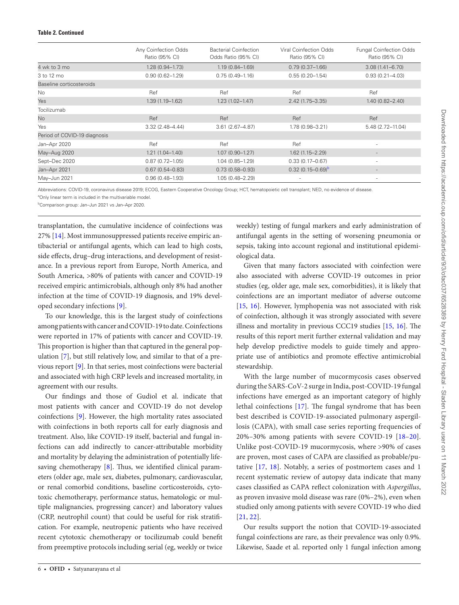#### **Table 2. Continued**

|                              | Any Coinfection Odds<br>Ratio (95% CI) | <b>Bacterial Coinfection</b><br>Odds Ratio (95% CI) | Viral Coinfection Odds<br>Ratio (95% CI) | <b>Fungal Coinfection Odds</b><br>Ratio (95% CI) |
|------------------------------|----------------------------------------|-----------------------------------------------------|------------------------------------------|--------------------------------------------------|
| 4 wk to 3 mo                 | $1.28(0.94 - 1.73)$                    | $1.19(0.84 - 1.69)$                                 | $0.79(0.37 - 1.66)$                      | $3.08(1.41 - 6.70)$                              |
| 3 to 12 mo                   | $0.90(0.62 - 1.29)$                    | $0.75(0.49 - 1.16)$                                 | $0.55(0.20 - 1.54)$                      | $0.93(0.21 - 4.03)$                              |
| Baseline corticosteroids     |                                        |                                                     |                                          |                                                  |
| <b>No</b>                    | Ref                                    | Ref                                                 | Ref                                      | Ref                                              |
| Yes                          | $1.39(1.19 - 1.62)$                    | $1.23(1.02 - 1.47)$                                 | $2.42(1.75 - 3.35)$                      | $1.40(0.82 - 2.40)$                              |
| Tocilizumab                  |                                        |                                                     |                                          |                                                  |
| No.                          | Ref                                    | Ref                                                 | Ref                                      | Ref                                              |
| Yes                          | $3.32(2.48 - 4.44)$                    | $3.61(2.67 - 4.87)$                                 | 1.78 (0.98-3.21)                         | 5.48 (2.72-11.04)                                |
| Period of COVID-19 diagnosis |                                        |                                                     |                                          |                                                  |
| Jan-Apr 2020                 | Ref                                    | Ref                                                 | Ref                                      | ٠                                                |
| May-Aug 2020                 | $1.21(1.04 - 1.40)$                    | $1.07(0.90 - 1.27)$                                 | $1.62$ $(1.15 - 2.29)$                   | $\overline{\phantom{a}}$                         |
| Sept-Dec 2020                | $0.87(0.72 - 1.05)$                    | $1.04(0.85 - 1.29)$                                 | $0.33(0.17 - 0.67)$                      | ٠                                                |
| Jan-Apr 2021                 | $0.67(0.54 - 0.83)$                    | $0.73(0.58 - 0.93)$                                 | $0.32(0.15-0.69)^b$                      | $\overline{\phantom{a}}$                         |
| May-Jun 2021                 | $0.96(0.48 - 1.93)$                    | $1.05(0.48 - 2.29)$                                 | $\overline{\phantom{a}}$                 | ٠                                                |

Abbreviations: COVID-19, coronavirus disease 2019; ECOG, Eastern Cooperative Oncology Group; HCT, hematopoietic cell transplant; NED, no evidence of disease. <sup>a</sup>Only linear term is included in the multivariable model.

<span id="page-7-1"></span><span id="page-7-0"></span>b Comparison group: Jan–Jun 2021 vs Jan–Apr 2020.

transplantation, the cumulative incidence of coinfections was 27% [\[14\]](#page-11-10). Most immunosuppressed patients receive empiric antibacterial or antifungal agents, which can lead to high costs, side effects, drug–drug interactions, and development of resistance. In a previous report from Europe, North America, and South America, >80% of patients with cancer and COVID-19 received empiric antimicrobials, although only 8% had another infection at the time of COVID-19 diagnosis, and 19% developed secondary infections [\[9\]](#page-11-5).

To our knowledge, this is the largest study of coinfections among patients with cancer and COVID-19 to date. Coinfections were reported in 17% of patients with cancer and COVID-19. This proportion is higher than that captured in the general population [[7\]](#page-11-3), but still relatively low, and similar to that of a previous report [[9](#page-11-5)]. In that series, most coinfections were bacterial and associated with high CRP levels and increased mortality, in agreement with our results.

Our findings and those of Gudiol et al. indicate that most patients with cancer and COVID-19 do not develop coinfections [[9](#page-11-5)]. However, the high mortality rates associated with coinfections in both reports call for early diagnosis and treatment. Also, like COVID-19 itself, bacterial and fungal infections can add indirectly to cancer-attributable morbidity and mortality by delaying the administration of potentially lifesaving chemotherapy [[8](#page-11-4)]. Thus, we identified clinical parameters (older age, male sex, diabetes, pulmonary, cardiovascular, or renal comorbid conditions, baseline corticosteroids, cytotoxic chemotherapy, performance status, hematologic or multiple malignancies, progressing cancer) and laboratory values (CRP, neutrophil count) that could be useful for risk stratification. For example, neutropenic patients who have received recent cytotoxic chemotherapy or tocilizumab could benefit from preemptive protocols including serial (eg, weekly or twice

weekly) testing of fungal markers and early administration of antifungal agents in the setting of worsening pneumonia or sepsis, taking into account regional and institutional epidemiological data.

Given that many factors associated with coinfection were also associated with adverse COVID-19 outcomes in prior studies (eg, older age, male sex, comorbidities), it is likely that coinfections are an important mediator of adverse outcome [\[15](#page-11-11), [16](#page-11-12)]. However, lymphopenia was not associated with risk of coinfection, although it was strongly associated with severe illness and mortality in previous CCC19 studies [[15,](#page-11-11) [16](#page-11-12)]. The results of this report merit further external validation and may help develop predictive models to guide timely and appropriate use of antibiotics and promote effective antimicrobial stewardship.

With the large number of mucormycosis cases observed during the SARS-CoV-2 surge in India, post-COVID-19 fungal infections have emerged as an important category of highly lethal coinfections [\[17](#page-11-13)]. The fungal syndrome that has been best described is COVID-19-associated pulmonary aspergillosis (CAPA), with small case series reporting frequencies of 20%–30% among patients with severe COVID-19 [[18](#page-11-14)–[20](#page-11-15)]. Unlike post-COVID-19 mucormycosis, where >90% of cases are proven, most cases of CAPA are classified as probable/putative [\[17](#page-11-13), [18\]](#page-11-14). Notably, a series of postmortem cases and 1 recent systematic review of autopsy data indicate that many cases classified as CAPA reflect colonization with *Aspergillus*, as proven invasive mold disease was rare (0%–2%), even when studied only among patients with severe COVID-19 who died [\[21,](#page-11-16) [22\]](#page-11-17).

Our results support the notion that COVID-19-associated fungal coinfections are rare, as their prevalence was only 0.9%. Likewise, Saade et al. reported only 1 fungal infection among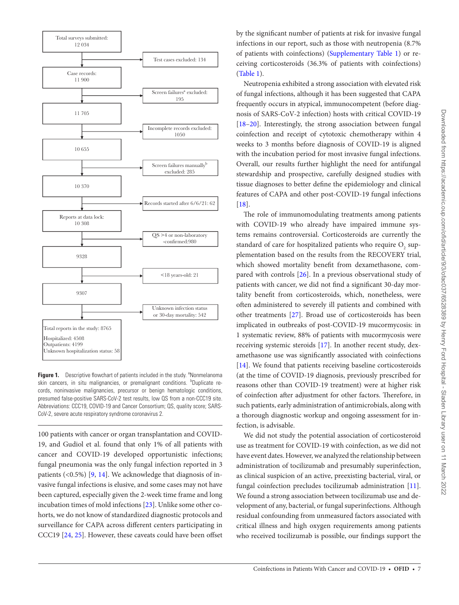

<span id="page-8-0"></span>Figure 1. Descriptive flowchart of patients included in the study. <sup>a</sup>Nonmelanoma skin cancers, in situ malignancies, or premalignant conditions. <sup>b</sup>Duplicate records, noninvasive malignancies, precursor or benign hematologic conditions, presumed false-positive SARS-CoV-2 test results, low QS from a non-CCC19 site. Abbreviations: CCC19, COVID-19 and Cancer Consortium; QS, quality score; SARS-CoV-2, severe acute respiratory syndrome coronavirus 2.

100 patients with cancer or organ transplantation and COVID-19, and Gudiol et al. found that only 1% of all patients with cancer and COVID-19 developed opportunistic infections; fungal pneumonia was the only fungal infection reported in 3 patients (<0.5%) [[9](#page-11-5), [14](#page-11-10)]. We acknowledge that diagnosis of invasive fungal infections is elusive, and some cases may not have been captured, especially given the 2-week time frame and long incubation times of mold infections [\[23](#page-11-18)]. Unlike some other cohorts, we do not know of standardized diagnostic protocols and surveillance for CAPA across different centers participating in CCC19 [\[24](#page-11-19), [25\]](#page-11-20). However, these caveats could have been offset by the significant number of patients at risk for invasive fungal infections in our report, such as those with neutropenia (8.7% of patients with coinfections) ([Supplementary Table 1\)](http://academic.oup.com/ofid/article-lookup/doi/10.1093/ofid/ofac037#supplementary-data) or receiving corticosteroids (36.3% of patients with coinfections) [\(Table 1](#page-4-0)).

Neutropenia exhibited a strong association with elevated risk of fungal infections, although it has been suggested that CAPA frequently occurs in atypical, immunocompetent (before diagnosis of SARS-CoV-2 infection) hosts with critical COVID-19 [\[18](#page-11-14)[–20](#page-11-15)]. Interestingly, the strong association between fungal coinfection and receipt of cytotoxic chemotherapy within 4 weeks to 3 months before diagnosis of COVID-19 is aligned with the incubation period for most invasive fungal infections. Overall, our results further highlight the need for antifungal stewardship and prospective, carefully designed studies with tissue diagnoses to better define the epidemiology and clinical features of CAPA and other post-COVID-19 fungal infections [\[18](#page-11-14)].

The role of immunomodulating treatments among patients with COVID-19 who already have impaired immune systems remains controversial. Corticosteroids are currently the standard of care for hospitalized patients who require  $\mathrm{O}_\mathrm{2}$  supplementation based on the results from the RECOVERY trial, which showed mortality benefit from dexamethasone, compared with controls [[26\]](#page-11-21). In a previous observational study of patients with cancer, we did not find a significant 30-day mortality benefit from corticosteroids, which, nonetheless, were often administered to severely ill patients and combined with other treatments [[27\]](#page-11-22). Broad use of corticosteroids has been implicated in outbreaks of post-COVID-19 mucormycosis: in 1 systematic review, 88% of patients with mucormycosis were receiving systemic steroids [[17](#page-11-13)]. In another recent study, dexamethasone use was significantly associated with coinfections [\[14](#page-11-10)]. We found that patients receiving baseline corticosteroids (at the time of COVID-19 diagnosis, previously prescribed for reasons other than COVID-19 treatment) were at higher risk of coinfection after adjustment for other factors. Therefore, in such patients, early administration of antimicrobials, along with a thorough diagnostic workup and ongoing assessment for infection, is advisable.

We did not study the potential association of corticosteroid use as treatment for COVID-19 with coinfection, as we did not have event dates. However, we analyzed the relationship between administration of tocilizumab and presumably superinfection, as clinical suspicion of an active, preexisting bacterial, viral, or fungal coinfection precludes tocilizumab administration [\[11](#page-11-7)]. We found a strong association between tocilizumab use and development of any, bacterial, or fungal superinfections. Although residual confounding from unmeasured factors associated with critical illness and high oxygen requirements among patients who received tocilizumab is possible, our findings support the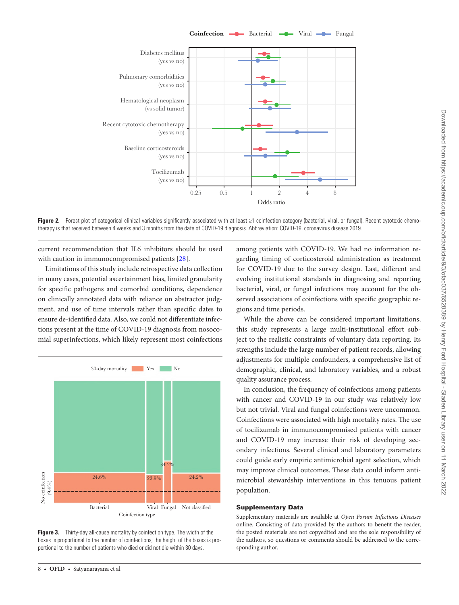Coinfection  $\longrightarrow$  Bacterial  $\longrightarrow$  Viral  $\longrightarrow$  Fungal



<span id="page-9-0"></span>**Figure 2.** Forest plot of categorical clinical variables significantly associated with at least ≥1 coinfection category (bacterial, viral, or fungal). Recent cytotoxic chemotherapy is that received between 4 weeks and 3 months from the date of COVID-19 diagnosis. Abbreviation: COVID-19, coronavirus disease 2019.

current recommendation that IL6 inhibitors should be used with caution in immunocompromised patients [[28\]](#page-11-23).

Limitations of this study include retrospective data collection in many cases, potential ascertainment bias, limited granularity for specific pathogens and comorbid conditions, dependence on clinically annotated data with reliance on abstractor judgment, and use of time intervals rather than specific dates to ensure de-identified data. Also, we could not differentiate infections present at the time of COVID-19 diagnosis from nosocomial superinfections, which likely represent most coinfections



<span id="page-9-1"></span>**Figure 3.** Thirty-day all-cause mortality by coinfection type. The width of the boxes is proportional to the number of coinfections; the height of the boxes is proportional to the number of patients who died or did not die within 30 days.

among patients with COVID-19. We had no information regarding timing of corticosteroid administration as treatment for COVID-19 due to the survey design. Last, different and evolving institutional standards in diagnosing and reporting bacterial, viral, or fungal infections may account for the observed associations of coinfections with specific geographic regions and time periods.

While the above can be considered important limitations, this study represents a large multi-institutional effort subject to the realistic constraints of voluntary data reporting. Its strengths include the large number of patient records, allowing adjustments for multiple confounders, a comprehensive list of demographic, clinical, and laboratory variables, and a robust quality assurance process.

In conclusion, the frequency of coinfections among patients with cancer and COVID-19 in our study was relatively low but not trivial. Viral and fungal coinfections were uncommon. Coinfections were associated with high mortality rates. The use of tocilizumab in immunocompromised patients with cancer and COVID-19 may increase their risk of developing secondary infections. Several clinical and laboratory parameters could guide early empiric antimicrobial agent selection, which may improve clinical outcomes. These data could inform antimicrobial stewardship interventions in this tenuous patient population.

#### Supplementary Data

Supplementary materials are available at *Open Forum Infectious Diseases* online. Consisting of data provided by the authors to benefit the reader, the posted materials are not copyedited and are the sole responsibility of the authors, so questions or comments should be addressed to the corresponding author.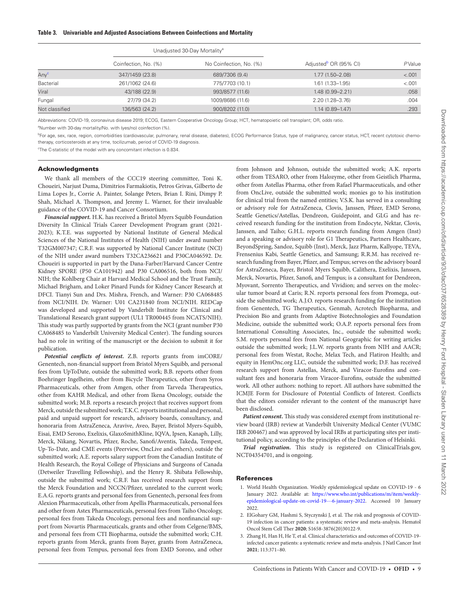<span id="page-10-3"></span>

|                  | Unadjusted 30-Day Mortality <sup>a</sup> |                         |                                   |        |
|------------------|------------------------------------------|-------------------------|-----------------------------------|--------|
|                  | Coinfection, No. (%)                     | No Coinfection, No. (%) | Adjusted <sup>b</sup> OR (95% CI) | PValue |
| Any <sup>c</sup> | 347/1459 (23.8)                          | 689/7306 (9.4)          | $1.77(1.50 - 2.08)$               | < .001 |
| Bacterial        | 261/1062 (24.6)                          | 775/7703 (10.1)         | $1.61(1.33 - 1.95)$               | < .001 |
| Viral            | 43/188 (22.9)                            | 993/8577 (11.6)         | $1.48(0.99 - 2.21)$               | .058   |
| Fungal           | 27/79 (34.2)                             | 1009/8686 (11.6)        | 2.20 (1.28-3.76)                  | .004   |
| Not classified   | 136/563 (24.2)                           | 900/8202 (11.0)         | $1.14(0.89 - 1.47)$               | .293   |

Abbreviations: COVID-19, coronavirus disease 2019; ECOG, Eastern Cooperative Oncology Group; HCT, hematopoietic cell transplant; OR, odds ratio.

<span id="page-10-4"></span><sup>a</sup>Number with 30-day mortality/No. with (yes/no) coinfection (%).

<span id="page-10-5"></span><sup>b</sup>For age, sex, race, region, comorbidities (cardiovascular, pulmonary, renal disease, diabetes), ECOG Performance Status, type of malignancy, cancer status, HCT, recent cytotoxic chemotherapy, corticosteroids at any time, tocilizumab, period of COVID-19 diagnosis.

<span id="page-10-6"></span>c The C-statistic of the model with any concomitant infection is 0.834.

#### Acknowledgments

We thank all members of the CCC19 steering committee, Toni K. Choueiri, Narjust Duma, Dimitrios Farmakiotis, Petros Grivas, Gilberto de Lima Lopes Jr., Corrie A. Painter, Solange Peters, Brian I. Rini, Dimpy P. Shah, Michael A. Thompson, and Jeremy L. Warner, for their invaluable guidance of the COVID-19 and Cancer Consortium.

*Financial support.* H.K. has received a Bristol Myers Squibb Foundation Diversity In Clinical Trials Career Development Program grant (2021- 2023); K.T.E. was supported by National Institute of General Medical Sciences of the National Institutes of Health (NIH) under award number T32GM007347; C.R.F. was supported by National Cancer Institute (NCI) of the NIH under award numbers T32CA236621 and P30CA046592. Dr. Choueiri is supported in part by the Dana-Farber/Harvard Cancer Centre Kidney SPORE (P50 CA101942) and P30 CA006516, both from NCI/ NIH; the Kohlberg Chair at Harvard Medical School and the Trust Family, Michael Brigham, and Loker Pinard Funds for Kidney Cancer Research at DFCI. Tianyi Sun and Drs. Mishra, French, and Warner: P30 CA068485 from NCI/NIH. Dr. Warner: U01 CA231840 from NCI/NIH. REDCap was developed and supported by Vanderbilt Institute for Clinical and Translational Research grant support (UL1 TR000445 from NCATS/NIH). This study was partly supported by grants from the NCI (grant number P30 CA068485 to Vanderbilt University Medical Center). The funding sources had no role in writing of the manuscript or the decision to submit it for publication.

*Potential conflicts of interest.* Z.B. reports grants from imCORE/ Genentech, non-financial support from Bristol Myers Squibb, and personal fees from UpToDate, outside the submitted work; B.B. reports other from Boehringer Ingelheim, other from Bicycle Therapeutics, other from Syros Pharmaceuticals, other from Amgen, other from Tarveda Therapeutics, other from KAHR Medical, and other from Ikena Oncology, outside the submitted work; M.B. reports a research project that receives support from Merck, outside the submitted work; T.K.C. reports institutional and personal, paid and unpaid support for research, advisory boards, consultancy, and honoraria from AstraZeneca, Aravive, Aveo, Bayer, Bristol Myers-Squibb, Eisai, EMD Serono, Exelixis, GlaxoSmithKline, IQVA, Ipsen, Kanaph, Lilly, Merck, Nikang, Novartis, Pfizer, Roche, Sanofi/Aventis, Takeda, Tempest, Up-To-Date, and CME events (Peerview, OncLive and others), outside the submitted work; A.E. reports salary support from the Canadian Institute of Health Research, the Royal College of Physicians and Surgeons of Canada (Detweiler Travelling Fellowship), and the Henry R. Shibata Fellowship, outside the submitted work; C.R.F. has received research support from the Merck Foundation and NCCN/Pfizer, unrelated to the current work; E.A.G. reports grants and personal fees from Genentech, personal fees from Alexion Pharmaceuticals, other from Apellis Pharmaceuticals, personal fees and other from Astex Pharmaceuticals, personal fees from Taiho Oncology, personal fees from Takeda Oncology, personal fees and nonfinancial support from Novartis Pharmaceuticals, grants and other from Celgene/BMS, and personal fees from CTI Biopharma, outside the submitted work; C.H. reports grants from Merck, grants from Bayer, grants from AstraZeneca, personal fees from Tempus, personal fees from EMD Sorono, and other

from Johnson and Johnson, outside the submitted work; A.K. reports other from TESARO, other from Halozyme, other from Geistlich Pharma, other from Astellas Pharma, other from Rafael Pharmaceuticals, and other from OncLive, outside the submitted work; monies go to his institution for clinical trial from the named entities; V.S.K. has served in a consulting or advisory role for AstraZeneca, Clovis, Janssen, Pfizer, EMD Serono, Seattle Genetics/Astellas, Dendreon, Guidepoint, and GLG and has received research funding for the institution from Endocyte, Nektar, Clovis, Janssen, and Taiho; G.H.L. reports research funding from Amgen (Inst) and a speaking or advisory role for G1 Therapeutics, Partners Healthcare, BeyondSpring, Sandoz, Squibb (Inst), Merck, Jazz Pharm, Kallyope, TEVA, Frensenius Kabi, Seattle Genetics, and Samsung; R.R.M. has received research funding from Bayer, Pfizer, and Tempus; serves on the advisory board for AstraZeneca, Bayer, Bristol Myers Squibb, Calithera, Exelixis, Janssen, Merck, Novartis, Pfizer, Sanofi, and Tempus; is a consultant for Dendreon, Myovant, Sorrento Therapeutics, and Vividion; and serves on the molecular tumor board at Caris; R.N. reports personal fees from Promega, outside the submitted work; A.J.O. reports research funding for the institution from Genentech, TG Therapeutics, Genmab, Acrotech Biopharma, and Precision Bio and grants from Adaptive Biotechnologies and Foundation Medicine, outside the submitted work; O.A.P. reports personal fees from International Consulting Associates, Inc., outside the submitted work; S.M. reports personal fees from National Geographic for writing articles outside the submitted work; J.L.W. reports grants from NIH and AACR; personal fees from Westat, Roche, Melax Tech, and Flatiron Health; and equity in HemOnc.org LLC, outside the submitted work; D.F. has received research support from Astellas, Merck, and Viracor-Eurofins and consultant fees and honoraria from Viracor-Eurofins, outside the submitted work. All other authors: nothing to report. All authors have submitted the ICMJE Form for Disclosure of Potential Conflicts of Interest. Conflicts that the editors consider relevant to the content of the manuscript have been disclosed.

*Patient consent***.** This study was considered exempt from institutional review board (IRB) review at Vanderbilt University Medical Center (VUMC IRB 200467) and was approved by local IRBs at participating sites per institutional policy, according to the principles of the Declaration of Helsinki.

*Trial registration.* This study is registered on ClinicalTrials.gov, NCT04354701, and is ongoing.

#### References

- <span id="page-10-0"></span>1. World Health Organization. Weekly epidemiological update on COVID-19 - 6 January 2022. Available at: [https://www.who.int/publications/m/item/weekly](https://www.who.int/publications/m/item/weekly-epidemiological-update-on-covid-19---6-january-2022)[epidemiological-update-on-covid-19---6-january-2022](https://www.who.int/publications/m/item/weekly-epidemiological-update-on-covid-19---6-january-2022). Accessed 10 January 2022.
- <span id="page-10-1"></span>2. ElGohary GM, Hashmi S, Styczynski J, et al. The risk and prognosis of COVID-19 infection in cancer patients: a systematic review and meta-analysis. Hematol Oncol Stem Cell Ther **2020**; S1658-3876(20)30122-9.
- <span id="page-10-2"></span>3. Zhang H, Han H, He T, et al. Clinical characteristics and outcomes of COVID-19 infected cancer patients: a systematic review and meta-analysis. J Natl Cancer Inst **2021**; 113:371–80.